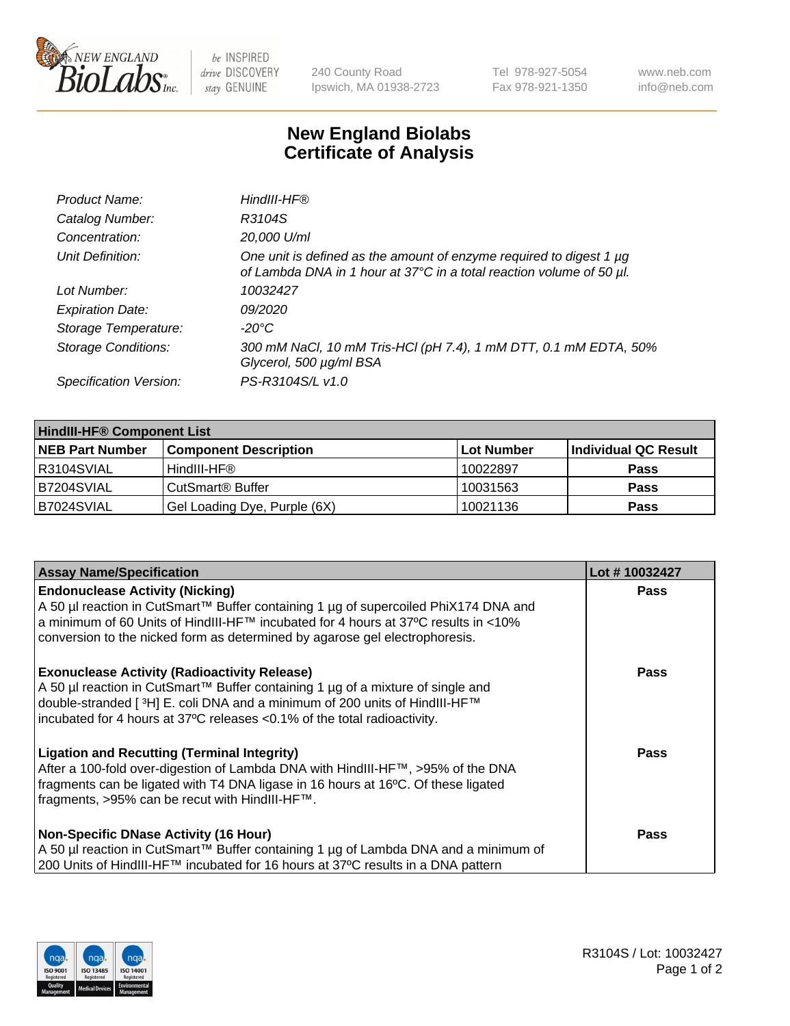

 $be$  INSPIRED drive DISCOVERY stay GENUINE

240 County Road Ipswich, MA 01938-2723 Tel 978-927-5054 Fax 978-921-1350 www.neb.com info@neb.com

## **New England Biolabs Certificate of Analysis**

| Product Name:              | HindIII-HF®                                                                                                                                      |
|----------------------------|--------------------------------------------------------------------------------------------------------------------------------------------------|
| Catalog Number:            | R3104S                                                                                                                                           |
| Concentration:             | 20,000 U/ml                                                                                                                                      |
| Unit Definition:           | One unit is defined as the amount of enzyme required to digest 1 $\mu$ g<br>of Lambda DNA in 1 hour at 37°C in a total reaction volume of 50 µl. |
| Lot Number:                | 10032427                                                                                                                                         |
| <b>Expiration Date:</b>    | 09/2020                                                                                                                                          |
| Storage Temperature:       | -20°C                                                                                                                                            |
| <b>Storage Conditions:</b> | 300 mM NaCl, 10 mM Tris-HCl (pH 7.4), 1 mM DTT, 0.1 mM EDTA, 50%<br>Glycerol, 500 µg/ml BSA                                                      |
| Specification Version:     | PS-R3104S/L v1.0                                                                                                                                 |

| <b>HindIII-HF® Component List</b> |                                    |                   |                      |  |  |
|-----------------------------------|------------------------------------|-------------------|----------------------|--|--|
| <b>NEB Part Number</b>            | <b>Component Description</b>       | <b>Lot Number</b> | Individual QC Result |  |  |
| R3104SVIAL                        | HindIII-HF®                        | 10022897          | <b>Pass</b>          |  |  |
| B7204SVIAL                        | <b>CutSmart<sup>®</sup> Buffer</b> | 10031563          | <b>Pass</b>          |  |  |
| B7024SVIAL                        | Gel Loading Dye, Purple (6X)       | 10021136          | <b>Pass</b>          |  |  |

| <b>Assay Name/Specification</b>                                                                                                                                                                                                                                                                  | Lot #10032427 |
|--------------------------------------------------------------------------------------------------------------------------------------------------------------------------------------------------------------------------------------------------------------------------------------------------|---------------|
| <b>Endonuclease Activity (Nicking)</b><br>A 50 µl reaction in CutSmart™ Buffer containing 1 µg of supercoiled PhiX174 DNA and                                                                                                                                                                    | <b>Pass</b>   |
| a minimum of 60 Units of HindIII-HF <sup>TM</sup> incubated for 4 hours at 37 <sup>o</sup> C results in <10%<br>conversion to the nicked form as determined by agarose gel electrophoresis.                                                                                                      |               |
| <b>Exonuclease Activity (Radioactivity Release)</b><br>A 50 µl reaction in CutSmart™ Buffer containing 1 µg of a mixture of single and<br>double-stranded [3H] E. coli DNA and a minimum of 200 units of HindIII-HF™<br>incubated for 4 hours at 37°C releases <0.1% of the total radioactivity. | <b>Pass</b>   |
| <b>Ligation and Recutting (Terminal Integrity)</b><br>After a 100-fold over-digestion of Lambda DNA with HindIII-HF™, >95% of the DNA<br>fragments can be ligated with T4 DNA ligase in 16 hours at 16°C. Of these ligated<br>fragments, >95% can be recut with HindIII-HF™.                     | <b>Pass</b>   |
| <b>Non-Specific DNase Activity (16 Hour)</b>                                                                                                                                                                                                                                                     | <b>Pass</b>   |
| A 50 µl reaction in CutSmart™ Buffer containing 1 µg of Lambda DNA and a minimum of<br>200 Units of HindIII-HF™ incubated for 16 hours at 37°C results in a DNA pattern                                                                                                                          |               |